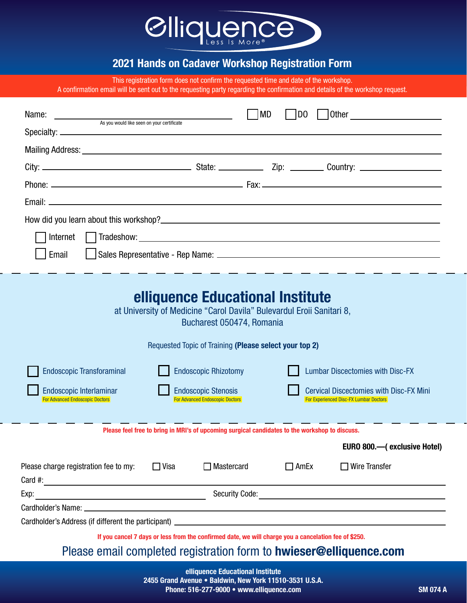

## 2021 Hands on Cadaver Workshop Registration Form

This registration form does not confirm the requested time and date of the workshop.

A confirmation email will be sent out to the requesting party regarding the confirmation and details of the workshop request.

| Name:    | <u> 1989 - Johann Harry Harry Harry Harry Harry Harry Harry Harry Harry Harry Harry Harry Harry Harry Harry Harry</u><br>As you would like seen on your certificate | MD | Other<br>IDO |
|----------|---------------------------------------------------------------------------------------------------------------------------------------------------------------------|----|--------------|
|          |                                                                                                                                                                     |    |              |
|          |                                                                                                                                                                     |    |              |
|          |                                                                                                                                                                     |    |              |
|          |                                                                                                                                                                     |    |              |
|          |                                                                                                                                                                     |    |              |
|          |                                                                                                                                                                     |    |              |
| Internet |                                                                                                                                                                     |    |              |
| Email    |                                                                                                                                                                     |    |              |
|          |                                                                                                                                                                     |    |              |

| elliquence Educational Institute<br>at University of Medicine "Carol Davila" Bulevardul Eroii Sanitari 8,<br>Bucharest 050474, Romania                                                                                        |             |                                                                                                      |             |                                                                                                                                            |  |
|-------------------------------------------------------------------------------------------------------------------------------------------------------------------------------------------------------------------------------|-------------|------------------------------------------------------------------------------------------------------|-------------|--------------------------------------------------------------------------------------------------------------------------------------------|--|
| Requested Topic of Training (Please select your top 2)                                                                                                                                                                        |             |                                                                                                      |             |                                                                                                                                            |  |
| <b>Endoscopic Transforaminal</b><br><b>Endoscopic Interlaminar</b><br><b>For Advanced Endoscopic Doctors</b>                                                                                                                  |             | <b>Endoscopic Rhizotomy</b><br><b>Endoscopic Stenosis</b><br><b>For Advanced Endoscopic Doctors</b>  |             | <b>Lumbar Discectomies with Disc-FX</b><br><b>Cervical Discectomies with Disc-FX Mini</b><br><b>For Experienced Disc-FX Lumbar Doctors</b> |  |
| Please feel free to bring in MRI's of upcoming surgical candidates to the workshop to discuss.                                                                                                                                |             |                                                                                                      |             |                                                                                                                                            |  |
|                                                                                                                                                                                                                               |             |                                                                                                      |             | EURO 800.—(exclusive Hotel)                                                                                                                |  |
| Please charge registration fee to my:<br>Card #: $\qquad \qquad$                                                                                                                                                              | $\Box$ Visa | $\Box$ Mastercard                                                                                    | $\Box$ AmEx | $\Box$ Wire Transfer                                                                                                                       |  |
| Exp:<br><u> 1989 - Johann Barbara, martin amerikan basar da</u>                                                                                                                                                               |             | <b>Security Code:</b>                                                                                |             |                                                                                                                                            |  |
| Cardholder's Name: University of the Card of the Card of the Card of the Card of the Card of the Card of the Card of the Card of the Card of the Card of the Card of the Card of the Card of the Card of the Card of the Card |             |                                                                                                      |             |                                                                                                                                            |  |
| Cardholder's Address (if different the participant)                                                                                                                                                                           |             |                                                                                                      |             |                                                                                                                                            |  |
|                                                                                                                                                                                                                               |             | If you cancel 7 days or less from the confirmed date, we will charge you a cancelation fee of \$250. |             | Please email completed registration form to <b>hwieser@elliquence.com</b>                                                                  |  |